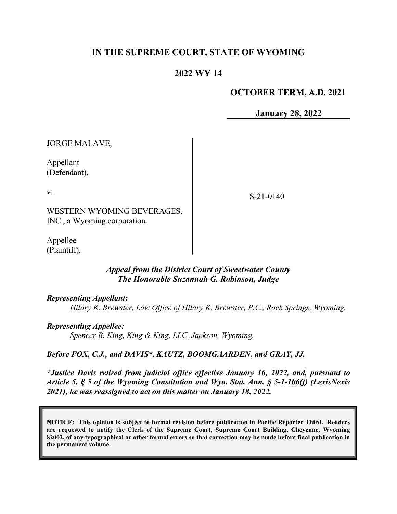# **IN THE SUPREME COURT, STATE OF WYOMING**

# **2022 WY 14**

## **OCTOBER TERM, A.D. 2021**

**January 28, 2022**

JORGE MALAVE,

Appellant (Defendant),

v.

S-21-0140

WESTERN WYOMING BEVERAGES, INC., a Wyoming corporation,

Appellee (Plaintiff).

## *Appeal from the District Court of Sweetwater County The Honorable Suzannah G. Robinson, Judge*

*Representing Appellant:*

*Hilary K. Brewster, Law Office of Hilary K. Brewster, P.C., Rock Springs, Wyoming.*

*Representing Appellee:*

*Spencer B. King, King & King, LLC, Jackson, Wyoming.*

#### *Before FOX, C.J., and DAVIS\*, KAUTZ, BOOMGAARDEN, and GRAY, JJ.*

*\*Justice Davis retired from judicial office effective January 16, 2022, and, pursuant to Article 5, § 5 of the Wyoming Constitution and Wyo. Stat. Ann. § 5-1-106(f) (LexisNexis 2021), he was reassigned to act on this matter on January 18, 2022.*

**NOTICE: This opinion is subject to formal revision before publication in Pacific Reporter Third. Readers are requested to notify the Clerk of the Supreme Court, Supreme Court Building, Cheyenne, Wyoming 82002, of any typographical or other formal errors so that correction may be made before final publication in the permanent volume.**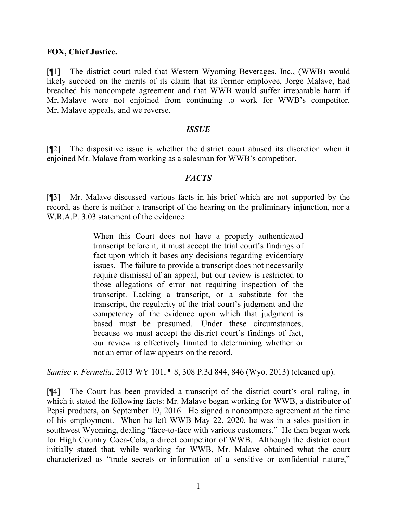#### **FOX, Chief Justice.**

[¶1] The district court ruled that Western Wyoming Beverages, Inc., (WWB) would likely succeed on the merits of its claim that its former employee, Jorge Malave, had breached his noncompete agreement and that WWB would suffer irreparable harm if Mr. Malave were not enjoined from continuing to work for WWB's competitor. Mr. Malave appeals, and we reverse.

## *ISSUE*

[¶2] The dispositive issue is whether the district court abused its discretion when it enjoined Mr. Malave from working as a salesman for WWB's competitor.

## *FACTS*

[¶3] Mr. Malave discussed various facts in his brief which are not supported by the record, as there is neither a transcript of the hearing on the preliminary injunction, nor a W.R.A.P. 3.03 statement of the evidence.

> When this Court does not have a properly authenticated transcript before it, it must accept the trial court's findings of fact upon which it bases any decisions regarding evidentiary issues. The failure to provide a transcript does not necessarily require dismissal of an appeal, but our review is restricted to those allegations of error not requiring inspection of the transcript. Lacking a transcript, or a substitute for the transcript, the regularity of the trial court's judgment and the competency of the evidence upon which that judgment is based must be presumed. Under these circumstances, because we must accept the district court's findings of fact, our review is effectively limited to determining whether or not an error of law appears on the record.

*Samiec v. Fermelia*, 2013 WY 101, **[8, 308 P.3d 844, 846 (Wyo. 2013)** (cleaned up).

[¶4] The Court has been provided a transcript of the district court's oral ruling, in which it stated the following facts: Mr. Malave began working for WWB, a distributor of Pepsi products, on September 19, 2016. He signed a noncompete agreement at the time of his employment. When he left WWB May 22, 2020, he was in a sales position in southwest Wyoming, dealing "face-to-face with various customers." He then began work for High Country Coca-Cola, a direct competitor of WWB. Although the district court initially stated that, while working for WWB, Mr. Malave obtained what the court characterized as "trade secrets or information of a sensitive or confidential nature,"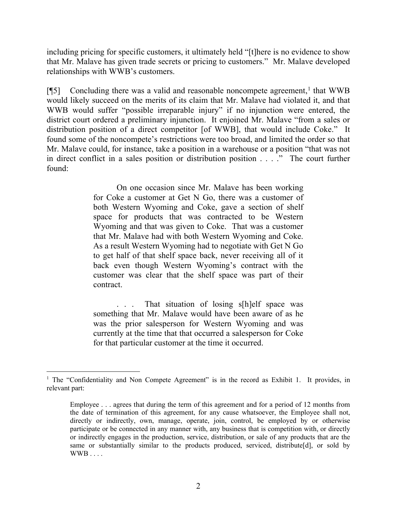including pricing for specific customers, it ultimately held "[t]here is no evidence to show that Mr. Malave has given trade secrets or pricing to customers." Mr. Malave developed relationships with WWB's customers.

[¶5] Concluding there was a valid and reasonable noncompete agreement, [1](#page-2-0) that WWB would likely succeed on the merits of its claim that Mr. Malave had violated it, and that WWB would suffer "possible irreparable injury" if no injunction were entered, the district court ordered a preliminary injunction. It enjoined Mr. Malave "from a sales or distribution position of a direct competitor [of WWB], that would include Coke." It found some of the noncompete's restrictions were too broad, and limited the order so that Mr. Malave could, for instance, take a position in a warehouse or a position "that was not in direct conflict in a sales position or distribution position . . . ." The court further found:

> On one occasion since Mr. Malave has been working for Coke a customer at Get N Go, there was a customer of both Western Wyoming and Coke, gave a section of shelf space for products that was contracted to be Western Wyoming and that was given to Coke. That was a customer that Mr. Malave had with both Western Wyoming and Coke. As a result Western Wyoming had to negotiate with Get N Go to get half of that shelf space back, never receiving all of it back even though Western Wyoming's contract with the customer was clear that the shelf space was part of their contract.

> . . . That situation of losing s[h]elf space was something that Mr. Malave would have been aware of as he was the prior salesperson for Western Wyoming and was currently at the time that that occurred a salesperson for Coke for that particular customer at the time it occurred.

<span id="page-2-0"></span><sup>&</sup>lt;sup>1</sup> The "Confidentiality and Non Compete Agreement" is in the record as Exhibit 1. It provides, in relevant part:

Employee . . . agrees that during the term of this agreement and for a period of 12 months from the date of termination of this agreement, for any cause whatsoever, the Employee shall not, directly or indirectly, own, manage, operate, join, control, be employed by or otherwise participate or be connected in any manner with, any business that is competition with, or directly or indirectly engages in the production, service, distribution, or sale of any products that are the same or substantially similar to the products produced, serviced, distribute[d], or sold by WWB . . . .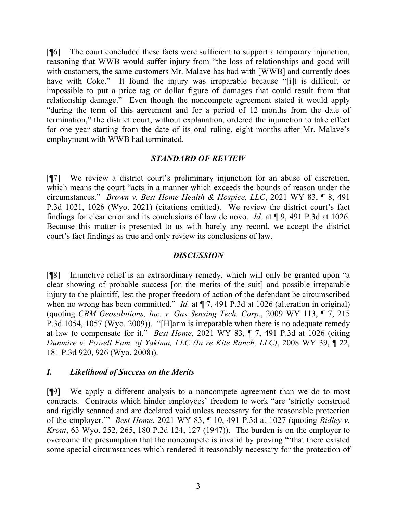[¶6] The court concluded these facts were sufficient to support a temporary injunction, reasoning that WWB would suffer injury from "the loss of relationships and good will with customers, the same customers Mr. Malave has had with [WWB] and currently does have with Coke." It found the injury was irreparable because "[i]t is difficult or impossible to put a price tag or dollar figure of damages that could result from that relationship damage." Even though the noncompete agreement stated it would apply "during the term of this agreement and for a period of 12 months from the date of termination," the district court, without explanation, ordered the injunction to take effect for one year starting from the date of its oral ruling, eight months after Mr. Malave's employment with WWB had terminated.

## *STANDARD OF REVIEW*

[¶7] We review a district court's preliminary injunction for an abuse of discretion, which means the court "acts in a manner which exceeds the bounds of reason under the circumstances." *Brown v. Best Home Health & Hospice, LLC*, 2021 WY 83, ¶ 8, 491 P.3d 1021, 1026 (Wyo. 2021) (citations omitted). We review the district court's fact findings for clear error and its conclusions of law de novo. *Id.* at ¶ 9, 491 P.3d at 1026. Because this matter is presented to us with barely any record, we accept the district court's fact findings as true and only review its conclusions of law.

#### *DISCUSSION*

[¶8] Injunctive relief is an extraordinary remedy, which will only be granted upon "a clear showing of probable success [on the merits of the suit] and possible irreparable injury to the plaintiff, lest the proper freedom of action of the defendant be circumscribed when no wrong has been committed." *Id.* at  $\P$  7, 491 P.3d at 1026 (alteration in original) (quoting *CBM Geosolutions, Inc. v. Gas Sensing Tech. Corp.*, 2009 WY 113, ¶ 7, 215 P.3d 1054, 1057 (Wyo. 2009)). "[H]arm is irreparable when there is no adequate remedy at law to compensate for it." *Best Home*, 2021 WY 83, ¶ 7, 491 P.3d at 1026 (citing *Dunmire v. Powell Fam. of Yakima, LLC (In re Kite Ranch, LLC)*, 2008 WY 39, ¶ 22, 181 P.3d 920, 926 (Wyo. 2008)).

## *I. Likelihood of Success on the Merits*

[¶9] We apply a different analysis to a noncompete agreement than we do to most contracts. Contracts which hinder employees' freedom to work "are 'strictly construed and rigidly scanned and are declared void unless necessary for the reasonable protection of the employer.'" *Best Home*, 2021 WY 83, ¶ 10, 491 P.3d at 1027 (quoting *Ridley v. Krout*, 63 Wyo. 252, 265, 180 P.2d 124, 127 (1947)). The burden is on the employer to overcome the presumption that the noncompete is invalid by proving "'that there existed some special circumstances which rendered it reasonably necessary for the protection of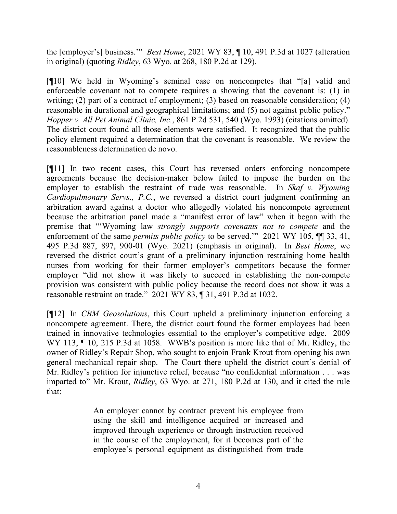the [employer's] business.'" *Best Home*, 2021 WY 83, ¶ 10, 491 P.3d at 1027 (alteration in original) (quoting *Ridley*, 63 Wyo. at 268, 180 P.2d at 129).

[¶10] We held in Wyoming's seminal case on noncompetes that "[a] valid and enforceable covenant not to compete requires a showing that the covenant is: (1) in writing; (2) part of a contract of employment; (3) based on reasonable consideration; (4) reasonable in durational and geographical limitations; and (5) not against public policy." *Hopper v. All Pet Animal Clinic, Inc.*, 861 P.2d 531, 540 (Wyo. 1993) (citations omitted). The district court found all those elements were satisfied. It recognized that the public policy element required a determination that the covenant is reasonable. We review the reasonableness determination de novo.

[¶11] In two recent cases, this Court has reversed orders enforcing noncompete agreements because the decision-maker below failed to impose the burden on the employer to establish the restraint of trade was reasonable. In *Skaf v. Wyoming Cardiopulmonary Servs., P.C.*, we reversed a district court judgment confirming an arbitration award against a doctor who allegedly violated his noncompete agreement because the arbitration panel made a "manifest error of law" when it began with the premise that "'Wyoming law *strongly supports covenants not to compete* and the enforcement of the same *permits public policy* to be served.'" 2021 WY 105, ¶¶ 33, 41, 495 P.3d 887, 897, 900-01 (Wyo. 2021) (emphasis in original). In *Best Home*, we reversed the district court's grant of a preliminary injunction restraining home health nurses from working for their former employer's competitors because the former employer "did not show it was likely to succeed in establishing the non-compete provision was consistent with public policy because the record does not show it was a reasonable restraint on trade." 2021 WY 83, ¶ 31, 491 P.3d at 1032.

[¶12] In *CBM Geosolutions*, this Court upheld a preliminary injunction enforcing a noncompete agreement. There, the district court found the former employees had been trained in innovative technologies essential to the employer's competitive edge. 2009 WY 113,  $\P$  10, 215 P.3d at 1058. WWB's position is more like that of Mr. Ridley, the owner of Ridley's Repair Shop, who sought to enjoin Frank Krout from opening his own general mechanical repair shop. The Court there upheld the district court's denial of Mr. Ridley's petition for injunctive relief, because "no confidential information . . . was imparted to" Mr. Krout, *Ridley*, 63 Wyo. at 271, 180 P.2d at 130, and it cited the rule that:

> An employer cannot by contract prevent his employee from using the skill and intelligence acquired or increased and improved through experience or through instruction received in the course of the employment, for it becomes part of the employee's personal equipment as distinguished from trade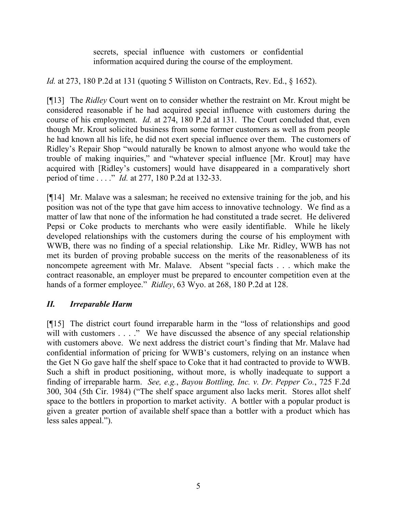secrets, special influence with customers or confidential information acquired during the course of the employment.

*Id.* at 273, 180 P.2d at 131 (quoting 5 Williston on Contracts, Rev. Ed., § 1652).

[¶13] The *Ridley* Court went on to consider whether the restraint on Mr. Krout might be considered reasonable if he had acquired special influence with customers during the course of his employment. *Id.* at 274, 180 P.2d at 131. The Court concluded that, even though Mr. Krout solicited business from some former customers as well as from people he had known all his life, he did not exert special influence over them. The customers of Ridley's Repair Shop "would naturally be known to almost anyone who would take the trouble of making inquiries," and "whatever special influence [Mr. Krout] may have acquired with [Ridley's customers] would have disappeared in a comparatively short period of time . . . ." *Id.* at 277, 180 P.2d at 132-33.

[¶14] Mr. Malave was a salesman; he received no extensive training for the job, and his position was not of the type that gave him access to innovative technology. We find as a matter of law that none of the information he had constituted a trade secret. He delivered Pepsi or Coke products to merchants who were easily identifiable. While he likely developed relationships with the customers during the course of his employment with WWB, there was no finding of a special relationship. Like Mr. Ridley, WWB has not met its burden of proving probable success on the merits of the reasonableness of its noncompete agreement with Mr. Malave. Absent "special facts . . . which make the contract reasonable, an employer must be prepared to encounter competition even at the hands of a former employee." *Ridley*, 63 Wyo. at 268, 180 P.2d at 128.

# *II. Irreparable Harm*

[¶15] The district court found irreparable harm in the "loss of relationships and good will with customers . . . ." We have discussed the absence of any special relationship with customers above. We next address the district court's finding that Mr. Malave had confidential information of pricing for WWB's customers, relying on an instance when the Get N Go gave half the shelf space to Coke that it had contracted to provide to WWB. Such a shift in product positioning, without more, is wholly inadequate to support a finding of irreparable harm. *See, e.g.*, *Bayou Bottling, Inc. v. Dr. Pepper Co.*, 725 F.2d 300, 304 (5th Cir. 1984) ("The shelf space argument also lacks merit. Stores allot shelf space to the bottlers in proportion to market activity. A bottler with a popular product is given a greater portion of available shelf space than a bottler with a product which has less sales appeal.").